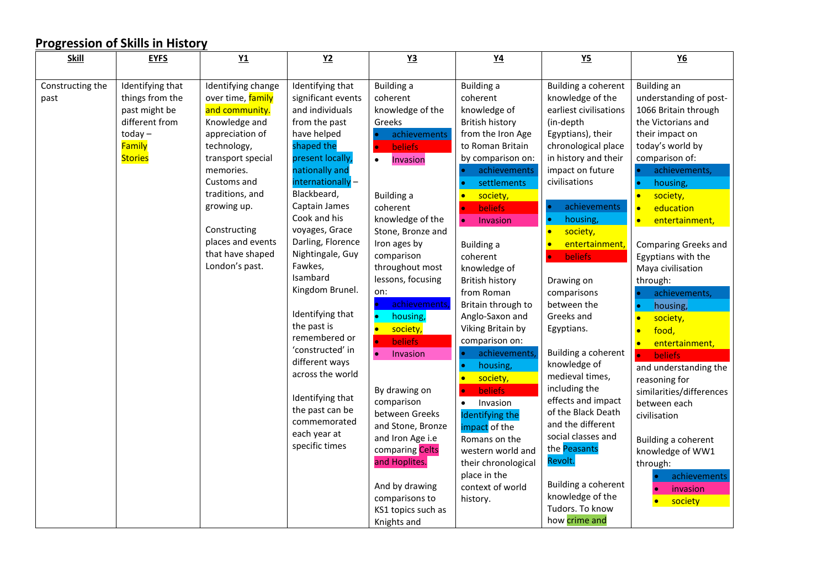| <b>Skill</b>             | <b>EYFS</b>                                          | Y1                                                               | Y <sub>2</sub>                                                  | Y3                                                            | $Y4$                                                                       | Y <sub>5</sub>                                                                       | $Y6$                                                                   |
|--------------------------|------------------------------------------------------|------------------------------------------------------------------|-----------------------------------------------------------------|---------------------------------------------------------------|----------------------------------------------------------------------------|--------------------------------------------------------------------------------------|------------------------------------------------------------------------|
|                          |                                                      |                                                                  |                                                                 |                                                               |                                                                            |                                                                                      |                                                                        |
| Constructing the<br>past | Identifying that<br>things from the<br>past might be | Identifying change<br>over time, family<br>and community.        | Identifying that<br>significant events<br>and individuals       | <b>Building a</b><br>coherent<br>knowledge of the             | Building a<br>coherent<br>knowledge of                                     | Building a coherent<br>knowledge of the<br>earliest civilisations                    | <b>Building an</b><br>understanding of post-<br>1066 Britain through   |
|                          | different from                                       | Knowledge and                                                    | from the past                                                   | Greeks                                                        | <b>British history</b>                                                     | (in-depth                                                                            | the Victorians and                                                     |
|                          | $today -$<br>Family<br><b>Stories</b>                | appreciation of<br>technology,<br>transport special<br>memories. | have helped<br>shaped the<br>present locally,<br>nationally and | achievements<br>beliefs<br>$\bullet$<br>Invasion<br>$\bullet$ | from the Iron Age<br>to Roman Britain<br>by comparison on:<br>achievements | Egyptians), their<br>chronological place<br>in history and their<br>impact on future | their impact on<br>today's world by<br>comparison of:<br>achievements, |
|                          |                                                      | Customs and                                                      | internationally-                                                |                                                               | settlements                                                                | civilisations                                                                        | housing,<br>$\bullet$                                                  |
|                          |                                                      | traditions, and                                                  | Blackbeard,                                                     | <b>Building a</b>                                             | society,<br><b>C</b>                                                       |                                                                                      | society,<br>$\bullet$                                                  |
|                          |                                                      | growing up.                                                      | Captain James<br>Cook and his                                   | coherent                                                      | <b>beliefs</b><br><b>le</b>                                                | achievements<br>housing,                                                             | education<br>$\bullet$                                                 |
|                          |                                                      | Constructing                                                     | voyages, Grace                                                  | knowledge of the<br>Stone, Bronze and                         | $\bullet$<br>Invasion                                                      | society,<br>$\bullet$                                                                | entertainment,<br>$\bullet$                                            |
|                          |                                                      | places and events                                                | Darling, Florence                                               | Iron ages by                                                  | <b>Building a</b>                                                          | entertainment                                                                        | Comparing Greeks and                                                   |
|                          |                                                      | that have shaped                                                 | Nightingale, Guy                                                | comparison                                                    | coherent                                                                   | <b>beliefs</b>                                                                       | Egyptians with the                                                     |
|                          |                                                      | London's past.                                                   | Fawkes,                                                         | throughout most                                               | knowledge of                                                               |                                                                                      | Maya civilisation                                                      |
|                          |                                                      |                                                                  | Isambard                                                        | lessons, focusing                                             | <b>British history</b>                                                     | Drawing on                                                                           | through:                                                               |
|                          |                                                      |                                                                  | Kingdom Brunel.                                                 | on:                                                           | from Roman                                                                 | comparisons                                                                          | achievements,                                                          |
|                          |                                                      |                                                                  |                                                                 | achievements                                                  | Britain through to                                                         | between the                                                                          | housing,<br>$\bullet$                                                  |
|                          |                                                      |                                                                  | Identifying that<br>the past is                                 | housing,<br>$\bullet$                                         | Anglo-Saxon and                                                            | Greeks and                                                                           | society,<br>$\bullet$                                                  |
|                          |                                                      |                                                                  | remembered or                                                   | $\bullet$<br>society,                                         | Viking Britain by                                                          | Egyptians.                                                                           | food,<br>$\bullet$                                                     |
|                          |                                                      |                                                                  | 'constructed' in                                                | <b>beliefs</b><br>$\bullet$<br>$\bullet$<br>Invasion          | comparison on:<br>achievements                                             | Building a coherent                                                                  | $\bullet$<br>entertainment,                                            |
|                          |                                                      |                                                                  | different ways                                                  |                                                               | housing,                                                                   | knowledge of                                                                         | <b>beliefs</b><br>$\bullet$<br>and understanding the                   |
|                          |                                                      |                                                                  | across the world                                                |                                                               | society,<br>$\bullet$                                                      | medieval times,                                                                      | reasoning for                                                          |
|                          |                                                      |                                                                  |                                                                 | By drawing on                                                 | <b>beliefs</b>                                                             | including the                                                                        | similarities/differences                                               |
|                          |                                                      |                                                                  | Identifying that                                                | comparison                                                    | Invasion<br>$\bullet$                                                      | effects and impact                                                                   | between each                                                           |
|                          |                                                      |                                                                  | the past can be<br>commemorated                                 | between Greeks                                                | <b>Identifying the</b>                                                     | of the Black Death                                                                   | civilisation                                                           |
|                          |                                                      |                                                                  | each year at                                                    | and Stone, Bronze                                             | impact of the                                                              | and the different                                                                    |                                                                        |
|                          |                                                      |                                                                  | specific times                                                  | and Iron Age i.e                                              | Romans on the                                                              | social classes and<br>the Peasants                                                   | Building a coherent                                                    |
|                          |                                                      |                                                                  |                                                                 | comparing Celts<br>and Hoplites.                              | western world and                                                          | Revolt.                                                                              | knowledge of WW1                                                       |
|                          |                                                      |                                                                  |                                                                 |                                                               | their chronological<br>place in the                                        |                                                                                      | through:<br>achievements                                               |
|                          |                                                      |                                                                  |                                                                 | And by drawing                                                | context of world                                                           | Building a coherent                                                                  | invasion                                                               |
|                          |                                                      |                                                                  |                                                                 | comparisons to                                                | history.                                                                   | knowledge of the                                                                     | society                                                                |
|                          |                                                      |                                                                  |                                                                 | KS1 topics such as                                            |                                                                            | Tudors. To know                                                                      |                                                                        |
|                          |                                                      |                                                                  |                                                                 | Knights and                                                   |                                                                            | how crime and                                                                        |                                                                        |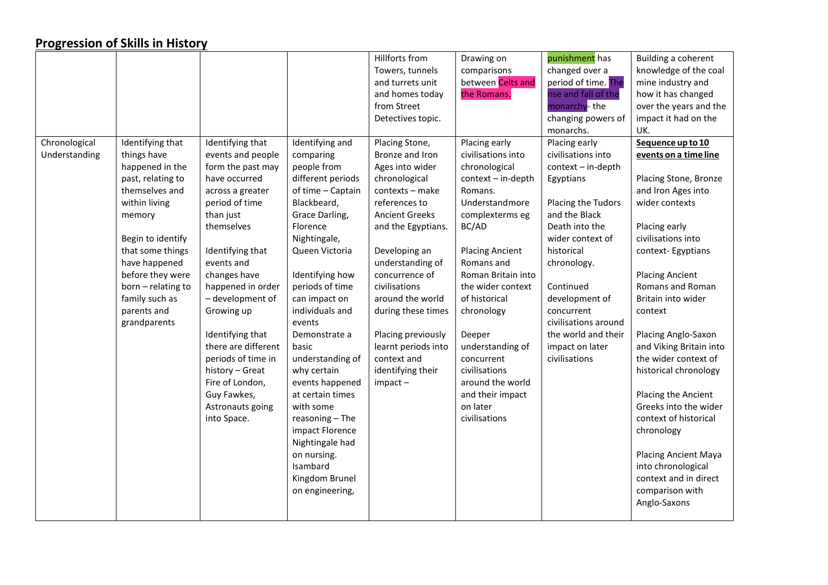|               |                    |                     |                   | Hillforts from        | Drawing on             | punishment has       | Building a coherent     |
|---------------|--------------------|---------------------|-------------------|-----------------------|------------------------|----------------------|-------------------------|
|               |                    |                     |                   | Towers, tunnels       | comparisons            | changed over a       | knowledge of the coal   |
|               |                    |                     |                   | and turrets unit      | between Celts and      | period of time. The  | mine industry and       |
|               |                    |                     |                   | and homes today       | the Romans.            | rise and fall of the | how it has changed      |
|               |                    |                     |                   | from Street           |                        | monarchy-the         | over the years and the  |
|               |                    |                     |                   | Detectives topic.     |                        | changing powers of   | impact it had on the    |
|               |                    |                     |                   |                       |                        | monarchs.            | UK.                     |
| Chronological | Identifying that   | Identifying that    | Identifying and   | Placing Stone,        | Placing early          | Placing early        | Sequence up to 10       |
| Understanding | things have        | events and people   | comparing         | Bronze and Iron       | civilisations into     | civilisations into   | events on a time line   |
|               | happened in the    | form the past may   | people from       | Ages into wider       | chronological          | context - in-depth   |                         |
|               | past, relating to  | have occurred       | different periods | chronological         | context - in-depth     | Egyptians            | Placing Stone, Bronze   |
|               | themselves and     | across a greater    | of time - Captain | contexts - make       | Romans.                |                      | and Iron Ages into      |
|               | within living      | period of time      | Blackbeard,       | references to         | Understandmore         | Placing the Tudors   | wider contexts          |
|               | memory             | than just           | Grace Darling,    | <b>Ancient Greeks</b> | complexterms eg        | and the Black        |                         |
|               |                    | themselves          | Florence          | and the Egyptians.    | BC/AD                  | Death into the       | Placing early           |
|               | Begin to identify  |                     | Nightingale,      |                       |                        | wider context of     | civilisations into      |
|               | that some things   | Identifying that    | Queen Victoria    | Developing an         | <b>Placing Ancient</b> | historical           | context-Egyptians       |
|               | have happened      | events and          |                   | understanding of      | Romans and             | chronology.          |                         |
|               | before they were   | changes have        | Identifying how   | concurrence of        | Roman Britain into     |                      | <b>Placing Ancient</b>  |
|               | born - relating to | happened in order   | periods of time   | civilisations         | the wider context      | Continued            | Romans and Roman        |
|               | family such as     | - development of    | can impact on     | around the world      | of historical          | development of       | Britain into wider      |
|               | parents and        | Growing up          | individuals and   | during these times    | chronology             | concurrent           | context                 |
|               | grandparents       |                     | events            |                       |                        | civilisations around |                         |
|               |                    | Identifying that    | Demonstrate a     | Placing previously    | Deeper                 | the world and their  | Placing Anglo-Saxon     |
|               |                    | there are different | basic             | learnt periods into   | understanding of       | impact on later      | and Viking Britain into |
|               |                    | periods of time in  | understanding of  | context and           | concurrent             | civilisations        | the wider context of    |
|               |                    | history - Great     | why certain       | identifying their     | civilisations          |                      | historical chronology   |
|               |                    | Fire of London,     | events happened   | $im$ pact $-$         | around the world       |                      |                         |
|               |                    | Guy Fawkes,         | at certain times  |                       | and their impact       |                      | Placing the Ancient     |
|               |                    | Astronauts going    | with some         |                       | on later               |                      | Greeks into the wider   |
|               |                    | into Space.         | reasoning - The   |                       | civilisations          |                      | context of historical   |
|               |                    |                     | impact Florence   |                       |                        |                      | chronology              |
|               |                    |                     | Nightingale had   |                       |                        |                      |                         |
|               |                    |                     | on nursing.       |                       |                        |                      | Placing Ancient Maya    |
|               |                    |                     | Isambard          |                       |                        |                      | into chronological      |
|               |                    |                     | Kingdom Brunel    |                       |                        |                      | context and in direct   |
|               |                    |                     | on engineering,   |                       |                        |                      | comparison with         |
|               |                    |                     |                   |                       |                        |                      | Anglo-Saxons            |
|               |                    |                     |                   |                       |                        |                      |                         |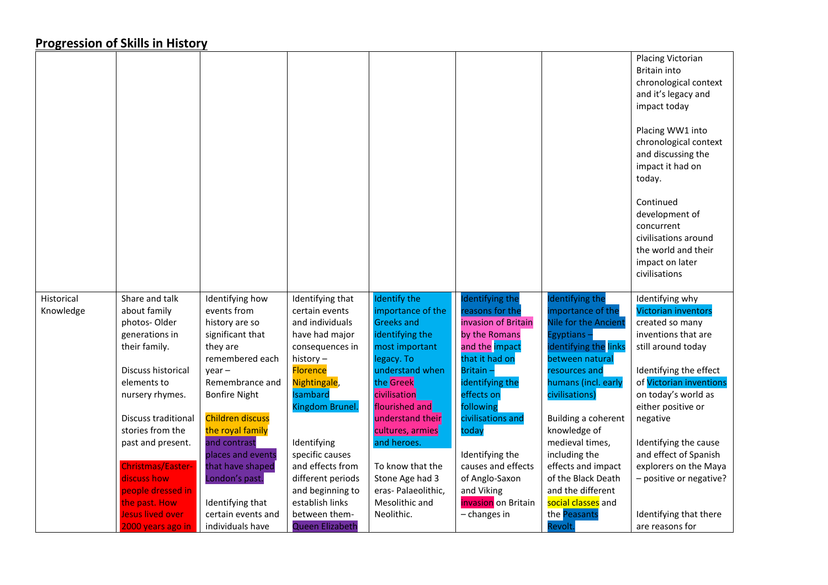|            |                         |                                  |                                |                     |                        |                                 | Placing Victorian<br><b>Britain into</b><br>chronological context<br>and it's legacy and<br>impact today<br>Placing WW1 into<br>chronological context<br>and discussing the<br>impact it had on<br>today.<br>Continued<br>development of<br>concurrent<br>civilisations around |
|------------|-------------------------|----------------------------------|--------------------------------|---------------------|------------------------|---------------------------------|--------------------------------------------------------------------------------------------------------------------------------------------------------------------------------------------------------------------------------------------------------------------------------|
|            |                         |                                  |                                |                     |                        |                                 | the world and their<br>impact on later<br>civilisations                                                                                                                                                                                                                        |
| Historical | Share and talk          | Identifying how                  | Identifying that               | Identify the        | <b>Identifying the</b> | Identifying the                 | Identifying why                                                                                                                                                                                                                                                                |
| Knowledge  | about family            | events from                      | certain events                 | importance of the   | reasons for the        | importance of the               | <b>Victorian inventors</b>                                                                                                                                                                                                                                                     |
|            | photos-Older            | history are so                   | and individuals                | <b>Greeks and</b>   | invasion of Britain    | Nile for the Ancient            | created so many                                                                                                                                                                                                                                                                |
|            | generations in          | significant that                 | have had major                 | identifying the     | by the Romans          | Egyptians-                      | inventions that are                                                                                                                                                                                                                                                            |
|            | their family.           | they are                         | consequences in                | most important      | and the impact         | identifying the links           | still around today                                                                                                                                                                                                                                                             |
|            |                         | remembered each                  | history-                       | legacy. To          | that it had on         | between natural                 |                                                                                                                                                                                                                                                                                |
|            | Discuss historical      | $year -$                         | <b>Florence</b>                | understand when     | Britain-               | resources and                   | Identifying the effect                                                                                                                                                                                                                                                         |
|            | elements to             | Remembrance and                  | Nightingale,                   | the Greek           | identifying the        | humans (incl. early             | of Victorian inventions                                                                                                                                                                                                                                                        |
|            | nursery rhymes.         | <b>Bonfire Night</b>             | Isambard                       | civilisation        | effects on             | civilisations)                  | on today's world as                                                                                                                                                                                                                                                            |
|            |                         |                                  | Kingdom Brunel.                | flourished and      | following              |                                 | either positive or                                                                                                                                                                                                                                                             |
|            | Discuss traditional     | <b>Children discuss</b>          |                                | understand their    | civilisations and      | Building a coherent             | negative                                                                                                                                                                                                                                                                       |
|            | stories from the        | the royal family<br>and contrast |                                | cultures, armies    | today                  | knowledge of<br>medieval times, |                                                                                                                                                                                                                                                                                |
|            | past and present.       | places and events                | Identifying<br>specific causes | and heroes.         | Identifying the        | including the                   | Identifying the cause<br>and effect of Spanish                                                                                                                                                                                                                                 |
|            | Christmas/Easter-       | that have shaped                 | and effects from               | To know that the    | causes and effects     | effects and impact              | explorers on the Maya                                                                                                                                                                                                                                                          |
|            | discuss how             | London's past.                   | different periods              | Stone Age had 3     | of Anglo-Saxon         | of the Black Death              | - positive or negative?                                                                                                                                                                                                                                                        |
|            | people dressed in       |                                  | and beginning to               | eras- Palaeolithic, | and Viking             | and the different               |                                                                                                                                                                                                                                                                                |
|            | the past. How           | Identifying that                 | establish links                | Mesolithic and      | invasion on Britain    | social classes and              |                                                                                                                                                                                                                                                                                |
|            | <b>Jesus lived over</b> | certain events and               | between them-                  | Neolithic.          | $-$ changes in         | the Peasants                    | Identifying that there                                                                                                                                                                                                                                                         |
|            | 2000 years ago in       | individuals have                 | Queen Elizabeth                |                     |                        | Revolt.                         | are reasons for                                                                                                                                                                                                                                                                |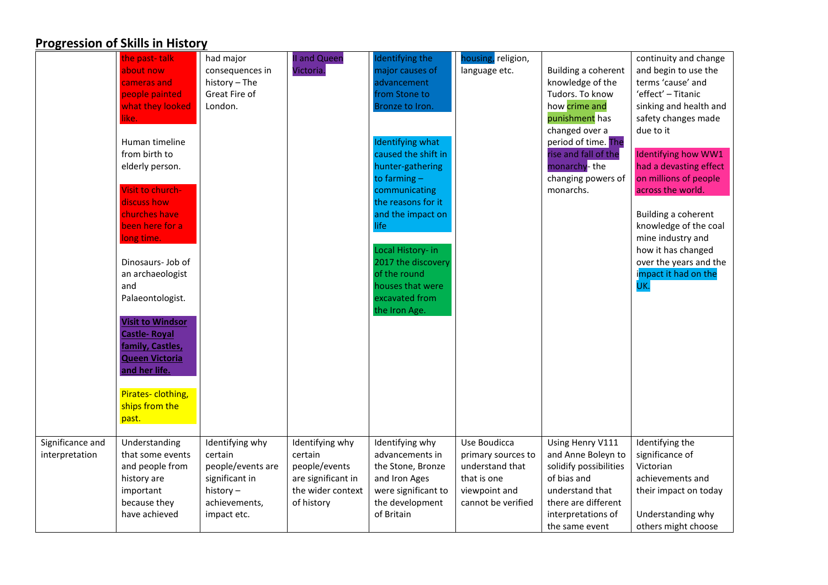|                  | the past-talk           | had major         | <b>II and Queen</b> | Identifying the         | housing, religion, |                        | continuity and change      |
|------------------|-------------------------|-------------------|---------------------|-------------------------|--------------------|------------------------|----------------------------|
|                  | about now               | consequences in   | Victoria.           | major causes of         | language etc.      | Building a coherent    | and begin to use the       |
|                  | cameras and             | history - The     |                     | advancement             |                    | knowledge of the       | terms 'cause' and          |
|                  | people painted          | Great Fire of     |                     | from Stone to           |                    | Tudors. To know        | 'effect' - Titanic         |
|                  | what they looked        | London.           |                     | Bronze to Iron.         |                    | how crime and          | sinking and health and     |
|                  | like.                   |                   |                     |                         |                    | punishment has         | safety changes made        |
|                  |                         |                   |                     |                         |                    | changed over a         | due to it                  |
|                  | Human timeline          |                   |                     | <b>Identifying what</b> |                    | period of time. The    |                            |
|                  | from birth to           |                   |                     | caused the shift in     |                    | rise and fall of the   | <b>Identifying how WW1</b> |
|                  | elderly person.         |                   |                     | hunter-gathering        |                    | monarchy-the           | had a devasting effect     |
|                  |                         |                   |                     | to farming $-$          |                    | changing powers of     | on millions of people      |
|                  | Visit to church-        |                   |                     | communicating           |                    | monarchs.              | across the world.          |
|                  | discuss how             |                   |                     | the reasons for it      |                    |                        |                            |
|                  | churches have           |                   |                     | and the impact on       |                    |                        | Building a coherent        |
|                  | been here for a         |                   |                     | life                    |                    |                        | knowledge of the coal      |
|                  | long time.              |                   |                     |                         |                    |                        | mine industry and          |
|                  |                         |                   |                     | Local History- in       |                    |                        | how it has changed         |
|                  | Dinosaurs- Job of       |                   |                     | 2017 the discovery      |                    |                        | over the years and the     |
|                  | an archaeologist        |                   |                     | of the round            |                    |                        | impact it had on the       |
|                  | and                     |                   |                     | houses that were        |                    |                        | UK.                        |
|                  | Palaeontologist.        |                   |                     | excavated from          |                    |                        |                            |
|                  |                         |                   |                     | the Iron Age.           |                    |                        |                            |
|                  | <b>Visit to Windsor</b> |                   |                     |                         |                    |                        |                            |
|                  | Castle-Royal            |                   |                     |                         |                    |                        |                            |
|                  | family, Castles,        |                   |                     |                         |                    |                        |                            |
|                  | <b>Queen Victoria</b>   |                   |                     |                         |                    |                        |                            |
|                  | and her life.           |                   |                     |                         |                    |                        |                            |
|                  |                         |                   |                     |                         |                    |                        |                            |
|                  | Pirates-clothing,       |                   |                     |                         |                    |                        |                            |
|                  | ships from the          |                   |                     |                         |                    |                        |                            |
|                  | past.                   |                   |                     |                         |                    |                        |                            |
|                  |                         |                   |                     |                         |                    |                        |                            |
| Significance and | Understanding           | Identifying why   | Identifying why     | Identifying why         | Use Boudicca       | Using Henry V111       | Identifying the            |
| interpretation   | that some events        | certain           | certain             | advancements in         | primary sources to | and Anne Boleyn to     | significance of            |
|                  | and people from         | people/events are | people/events       | the Stone, Bronze       | understand that    | solidify possibilities | Victorian                  |
|                  | history are             | significant in    | are significant in  | and Iron Ages           | that is one        | of bias and            | achievements and           |
|                  | important               | history-          | the wider context   | were significant to     | viewpoint and      | understand that        | their impact on today      |
|                  | because they            | achievements,     | of history          | the development         | cannot be verified | there are different    |                            |
|                  | have achieved           | impact etc.       |                     | of Britain              |                    | interpretations of     | Understanding why          |
|                  |                         |                   |                     |                         |                    | the same event         | others might choose        |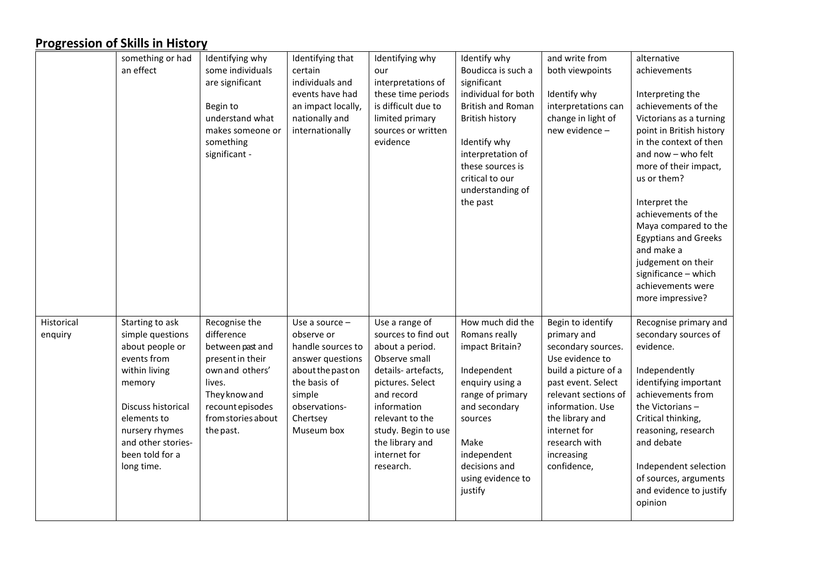|                       | something or had<br>an effect                                                                                                                                                                                  | Identifying why<br>some individuals<br>are significant<br>Begin to<br>understand what<br>makes someone or<br>something<br>significant -                                  | Identifying that<br>certain<br>individuals and<br>events have had<br>an impact locally,<br>nationally and<br>internationally                                    | Identifying why<br>our<br>interpretations of<br>these time periods<br>is difficult due to<br>limited primary<br>sources or written<br>evidence                                                                                              | Identify why<br>Boudicca is such a<br>significant<br>individual for both<br><b>British and Roman</b><br><b>British history</b><br>Identify why<br>interpretation of<br>these sources is<br>critical to our<br>understanding of<br>the past | and write from<br>both viewpoints<br>Identify why<br>interpretations can<br>change in light of<br>new evidence -                                                                                                                                     | alternative<br>achievements<br>Interpreting the<br>achievements of the<br>Victorians as a turning<br>point in British history<br>in the context of then<br>and now - who felt<br>more of their impact,<br>us or them?<br>Interpret the<br>achievements of the<br>Maya compared to the<br><b>Egyptians and Greeks</b> |
|-----------------------|----------------------------------------------------------------------------------------------------------------------------------------------------------------------------------------------------------------|--------------------------------------------------------------------------------------------------------------------------------------------------------------------------|-----------------------------------------------------------------------------------------------------------------------------------------------------------------|---------------------------------------------------------------------------------------------------------------------------------------------------------------------------------------------------------------------------------------------|--------------------------------------------------------------------------------------------------------------------------------------------------------------------------------------------------------------------------------------------|------------------------------------------------------------------------------------------------------------------------------------------------------------------------------------------------------------------------------------------------------|----------------------------------------------------------------------------------------------------------------------------------------------------------------------------------------------------------------------------------------------------------------------------------------------------------------------|
|                       |                                                                                                                                                                                                                |                                                                                                                                                                          |                                                                                                                                                                 |                                                                                                                                                                                                                                             |                                                                                                                                                                                                                                            |                                                                                                                                                                                                                                                      | and make a<br>judgement on their<br>significance - which<br>achievements were<br>more impressive?                                                                                                                                                                                                                    |
| Historical<br>enquiry | Starting to ask<br>simple questions<br>about people or<br>events from<br>within living<br>memory<br>Discuss historical<br>elements to<br>nursery rhymes<br>and other stories-<br>been told for a<br>long time. | Recognise the<br>difference<br>between past and<br>present in their<br>own and others'<br>lives.<br>They know and<br>recount episodes<br>from stories about<br>the past. | Use a source -<br>observe or<br>handle sources to<br>answer questions<br>about the past on<br>the basis of<br>simple<br>observations-<br>Chertsey<br>Museum box | Use a range of<br>sources to find out<br>about a period.<br>Observe small<br>details- artefacts,<br>pictures. Select<br>and record<br>information<br>relevant to the<br>study. Begin to use<br>the library and<br>internet for<br>research. | How much did the<br>Romans really<br>impact Britain?<br>Independent<br>enquiry using a<br>range of primary<br>and secondary<br>sources<br>Make<br>independent<br>decisions and<br>using evidence to<br>justify                             | Begin to identify<br>primary and<br>secondary sources.<br>Use evidence to<br>build a picture of a<br>past event. Select<br>relevant sections of<br>information. Use<br>the library and<br>internet for<br>research with<br>increasing<br>confidence, | Recognise primary and<br>secondary sources of<br>evidence.<br>Independently<br>identifying important<br>achievements from<br>the Victorians-<br>Critical thinking,<br>reasoning, research<br>and debate<br>Independent selection<br>of sources, arguments<br>and evidence to justify<br>opinion                      |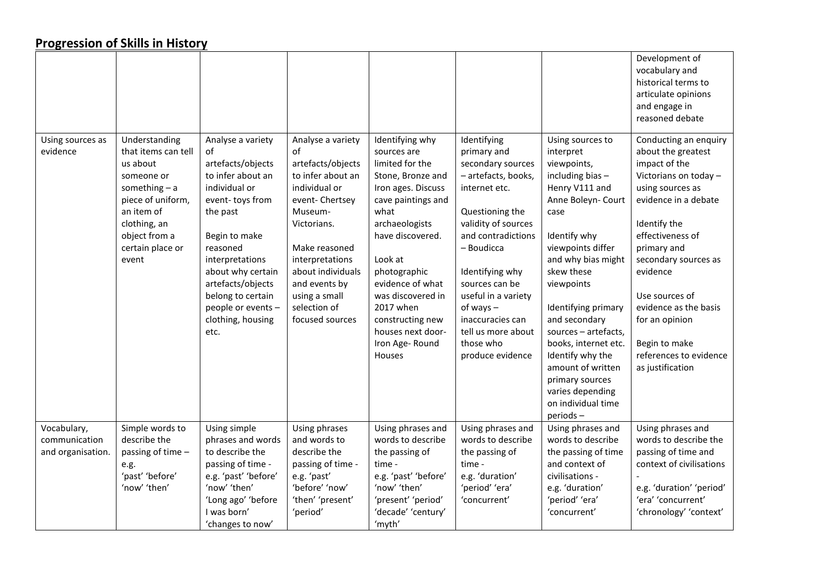|                              |                                                                                                                                                                                    |                                                                                                                                                                                                                                                                                     |                                                                                                                                                                                                                                                              |                                                                                                                                                                                                                                                                                                                        |                                                                                                                                                                                                                                                                                                                             |                                                                                                                                                                                                                                                                                                                                                                                                                  | Development of<br>vocabulary and<br>historical terms to<br>articulate opinions<br>and engage in<br>reasoned debate                                                                                                                                                                                                                                   |
|------------------------------|------------------------------------------------------------------------------------------------------------------------------------------------------------------------------------|-------------------------------------------------------------------------------------------------------------------------------------------------------------------------------------------------------------------------------------------------------------------------------------|--------------------------------------------------------------------------------------------------------------------------------------------------------------------------------------------------------------------------------------------------------------|------------------------------------------------------------------------------------------------------------------------------------------------------------------------------------------------------------------------------------------------------------------------------------------------------------------------|-----------------------------------------------------------------------------------------------------------------------------------------------------------------------------------------------------------------------------------------------------------------------------------------------------------------------------|------------------------------------------------------------------------------------------------------------------------------------------------------------------------------------------------------------------------------------------------------------------------------------------------------------------------------------------------------------------------------------------------------------------|------------------------------------------------------------------------------------------------------------------------------------------------------------------------------------------------------------------------------------------------------------------------------------------------------------------------------------------------------|
| Using sources as<br>evidence | Understanding<br>that items can tell<br>us about<br>someone or<br>something $- a$<br>piece of uniform,<br>an item of<br>clothing, an<br>object from a<br>certain place or<br>event | Analyse a variety<br>οf<br>artefacts/objects<br>to infer about an<br>individual or<br>event-toys from<br>the past<br>Begin to make<br>reasoned<br>interpretations<br>about why certain<br>artefacts/objects<br>belong to certain<br>people or events -<br>clothing, housing<br>etc. | Analyse a variety<br>of<br>artefacts/objects<br>to infer about an<br>individual or<br>event-Chertsey<br>Museum-<br>Victorians.<br>Make reasoned<br>interpretations<br>about individuals<br>and events by<br>using a small<br>selection of<br>focused sources | Identifying why<br>sources are<br>limited for the<br>Stone, Bronze and<br>Iron ages. Discuss<br>cave paintings and<br>what<br>archaeologists<br>have discovered.<br>Look at<br>photographic<br>evidence of what<br>was discovered in<br>2017 when<br>constructing new<br>houses next door-<br>Iron Age-Round<br>Houses | Identifying<br>primary and<br>secondary sources<br>- artefacts, books,<br>internet etc.<br>Questioning the<br>validity of sources<br>and contradictions<br>- Boudicca<br>Identifying why<br>sources can be<br>useful in a variety<br>$of ways -$<br>inaccuracies can<br>tell us more about<br>those who<br>produce evidence | Using sources to<br>interpret<br>viewpoints,<br>including bias-<br>Henry V111 and<br>Anne Boleyn- Court<br>case<br>Identify why<br>viewpoints differ<br>and why bias might<br>skew these<br>viewpoints<br>Identifying primary<br>and secondary<br>sources - artefacts,<br>books, internet etc.<br>Identify why the<br>amount of written<br>primary sources<br>varies depending<br>on individual time<br>periods- | Conducting an enquiry<br>about the greatest<br>impact of the<br>Victorians on today -<br>using sources as<br>evidence in a debate<br>Identify the<br>effectiveness of<br>primary and<br>secondary sources as<br>evidence<br>Use sources of<br>evidence as the basis<br>for an opinion<br>Begin to make<br>references to evidence<br>as justification |
| Vocabulary,<br>communication | Simple words to<br>describe the                                                                                                                                                    | Using simple<br>phrases and words                                                                                                                                                                                                                                                   | Using phrases<br>and words to                                                                                                                                                                                                                                | Using phrases and<br>words to describe                                                                                                                                                                                                                                                                                 | Using phrases and<br>words to describe                                                                                                                                                                                                                                                                                      | Using phrases and<br>words to describe                                                                                                                                                                                                                                                                                                                                                                           | Using phrases and<br>words to describe the                                                                                                                                                                                                                                                                                                           |
| and organisation.            | passing of time -                                                                                                                                                                  | to describe the                                                                                                                                                                                                                                                                     | describe the                                                                                                                                                                                                                                                 | the passing of                                                                                                                                                                                                                                                                                                         | the passing of                                                                                                                                                                                                                                                                                                              | the passing of time                                                                                                                                                                                                                                                                                                                                                                                              | passing of time and                                                                                                                                                                                                                                                                                                                                  |
|                              | e.g.                                                                                                                                                                               | passing of time -                                                                                                                                                                                                                                                                   | passing of time -                                                                                                                                                                                                                                            | time -                                                                                                                                                                                                                                                                                                                 | time -                                                                                                                                                                                                                                                                                                                      | and context of                                                                                                                                                                                                                                                                                                                                                                                                   | context of civilisations                                                                                                                                                                                                                                                                                                                             |
|                              | 'past' 'before'                                                                                                                                                                    | e.g. 'past' 'before'                                                                                                                                                                                                                                                                | e.g. 'past'                                                                                                                                                                                                                                                  | e.g. 'past' 'before'                                                                                                                                                                                                                                                                                                   | e.g. 'duration'                                                                                                                                                                                                                                                                                                             | civilisations -                                                                                                                                                                                                                                                                                                                                                                                                  |                                                                                                                                                                                                                                                                                                                                                      |
|                              | 'now' 'then'                                                                                                                                                                       | 'now' 'then'                                                                                                                                                                                                                                                                        | 'before' 'now'                                                                                                                                                                                                                                               | 'now' 'then'                                                                                                                                                                                                                                                                                                           | 'period' 'era'                                                                                                                                                                                                                                                                                                              | e.g. 'duration'                                                                                                                                                                                                                                                                                                                                                                                                  | e.g. 'duration' 'period'                                                                                                                                                                                                                                                                                                                             |
|                              |                                                                                                                                                                                    | 'Long ago' 'before                                                                                                                                                                                                                                                                  | 'then' 'present'                                                                                                                                                                                                                                             | 'present' 'period'                                                                                                                                                                                                                                                                                                     | 'concurrent'                                                                                                                                                                                                                                                                                                                | 'period' 'era'                                                                                                                                                                                                                                                                                                                                                                                                   | 'era' 'concurrent'                                                                                                                                                                                                                                                                                                                                   |
|                              |                                                                                                                                                                                    | I was born'                                                                                                                                                                                                                                                                         | 'period'                                                                                                                                                                                                                                                     | 'decade' 'century'                                                                                                                                                                                                                                                                                                     |                                                                                                                                                                                                                                                                                                                             | 'concurrent'                                                                                                                                                                                                                                                                                                                                                                                                     | 'chronology' 'context'                                                                                                                                                                                                                                                                                                                               |
|                              |                                                                                                                                                                                    | 'changes to now'                                                                                                                                                                                                                                                                    |                                                                                                                                                                                                                                                              | 'myth'                                                                                                                                                                                                                                                                                                                 |                                                                                                                                                                                                                                                                                                                             |                                                                                                                                                                                                                                                                                                                                                                                                                  |                                                                                                                                                                                                                                                                                                                                                      |